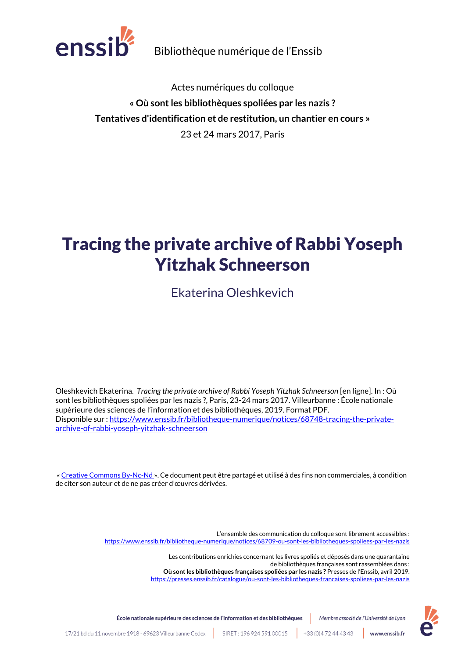

Bibliothèque numérique de l'Enssib

Actes numériques du colloque **« Où sont les bibliothèques spoliées par les nazis ? Tentatives d'identification et de restitution, un chantier en cours »** 23 et 24 mars 2017, Paris

# Tracing the private archive of Rabbi Yoseph Yitzhak Schneerson

Ekaterina Oleshkevich

Oleshkevich Ekaterina. *Tracing the private archive of Rabbi Yoseph Yitzhak Schneerson* [en ligne]. In : Où sont les bibliothèques spoliées par les nazis ?, Paris, 23-24 mars 2017. Villeurbanne : École nationale supérieure des sciences de l'information et des bibliothèques, 2019. Format PDF. Disponible sur [: https://www.enssib.fr/bibliotheque-numerique/notices/68748-tracing-the-private](https://www.enssib.fr/bibliotheque-numerique/notices/68748-tracing-the-private-archive-of-rabbi-yoseph-yitzhak-schneerson)[archive-of-rabbi-yoseph-yitzhak-schneerson](https://www.enssib.fr/bibliotheque-numerique/notices/68748-tracing-the-private-archive-of-rabbi-yoseph-yitzhak-schneerson)

« [Creative Commons By-Nc-Nd](https://creativecommons.org/licenses/by-nc-nd/2.0/fr/) ». Ce document peut être partagé et utilisé à des fins non commerciales, à condition de citer son auteur et de ne pas créer d'œuvres dérivées.

> L'ensemble des communication du colloque sont librement accessibles : <https://www.enssib.fr/bibliotheque-numerique/notices/68709-ou-sont-les-bibliotheques-spoliees-par-les-nazis> Les contributions enrichies concernant les livres spoliés et déposés dans une quarantaine de bibliothèques françaises sont rassemblées dans : **Où sont les bibliothèques françaises spoliées par les nazis ?** Presses de l'Enssib, avril 2019. <https://presses.enssib.fr/catalogue/ou-sont-les-bibliotheques-francaises-spoliees-par-les-nazis>

École nationale supérieure des sciences de l'information et des bibliothèques Membre associé de l'Université de Lyon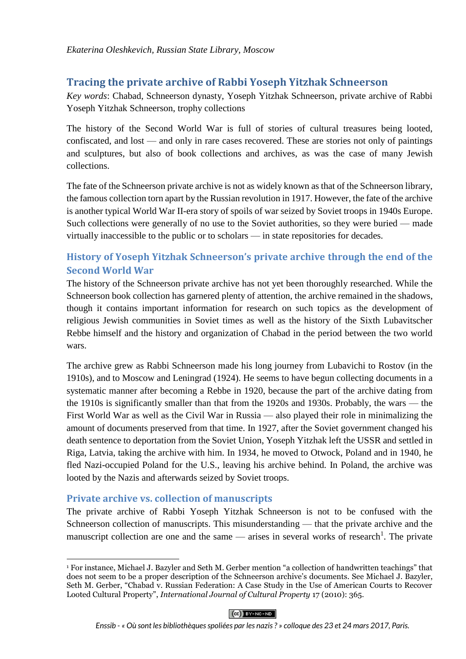# **Tracing the private archive of Rabbi Yoseph Yitzhak Schneerson**

*Key words*: Chabad, Schneerson dynasty, Yoseph Yitzhak Schneerson, private archive of Rabbi Yoseph Yitzhak Schneerson, trophy collections

The history of the Second World War is full of stories of cultural treasures being looted, confiscated, and lost — and only in rare cases recovered. These are stories not only of paintings and sculptures, but also of book collections and archives, as was the case of many Jewish collections.

The fate of the Schneerson private archive is not as widely known as that of the Schneerson library, the famous collection torn apart by the Russian revolution in 1917. However, the fate of the archive is another typical World War II-era story of spoils of war seized by Soviet troops in 1940s Europe. Such collections were generally of no use to the Soviet authorities, so they were buried — made virtually inaccessible to the public or to scholars — in state repositories for decades.

# **History of Yoseph Yitzhak Schneerson's private archive through the end of the Second World War**

The history of the Schneerson private archive has not yet been thoroughly researched. While the Schneerson book collection has garnered plenty of attention, the archive remained in the shadows, though it contains important information for research on such topics as the development of religious Jewish communities in Soviet times as well as the history of the Sixth Lubavitscher Rebbe himself and the history and organization of Chabad in the period between the two world wars.

The archive grew as Rabbi Schneerson made his long journey from Lubavichi to Rostov (in the 1910s), and to Moscow and Leningrad (1924). He seems to have begun collecting documents in a systematic manner after becoming a Rebbe in 1920, because the part of the archive dating from the 1910s is significantly smaller than that from the 1920s and 1930s. Probably, the wars — the First World War as well as the Civil War in Russia — also played their role in minimalizing the amount of documents preserved from that time. In 1927, after the Soviet government changed his death sentence to deportation from the Soviet Union, Yoseph Yitzhak left the USSR and settled in Riga, Latvia, taking the archive with him. In 1934, he moved to Otwock, Poland and in 1940, he fled Nazi-occupied Poland for the U.S., leaving his archive behind. In Poland, the archive was looted by the Nazis and afterwards seized by Soviet troops.

## **Private archive vs. collection of manuscripts**

1

The private archive of Rabbi Yoseph Yitzhak Schneerson is not to be confused with the Schneerson collection of manuscripts. This misunderstanding — that the private archive and the manuscript collection are one and the same — arises in several works of research<sup>1</sup>. The private

 $(CC)$  BY-NC-ND

<sup>1</sup> For instance, Michael J. Bazyler and Seth M. Gerber mention "a collection of handwritten teachings" that does not seem to be a proper description of the Schneerson archive's documents. See Michael J. Bazyler, Seth M. Gerber, "Chabad v. Russian Federation: A Case Study in the Use of American Courts to Recover Looted Cultural Property", *International Journal of Cultural Property* 17 (2010): 365.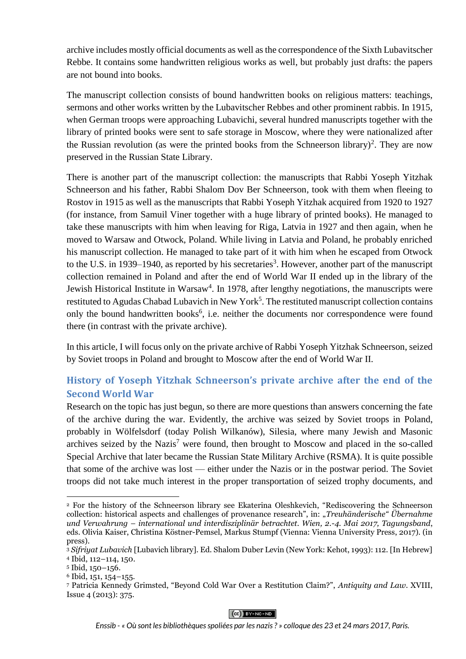archive includes mostly official documents as well as the correspondence of the Sixth Lubavitscher Rebbe. It contains some handwritten religious works as well, but probably just drafts: the papers are not bound into books.

The manuscript collection consists of bound handwritten books on religious matters: teachings, sermons and other works written by the Lubavitscher Rebbes and other prominent rabbis. In 1915, when German troops were approaching Lubavichi, several hundred manuscripts together with the library of printed books were sent to safe storage in Moscow, where they were nationalized after the Russian revolution (as were the printed books from the Schneerson library)<sup>2</sup>. They are now preserved in the Russian State Library.

There is another part of the manuscript collection: the manuscripts that Rabbi Yoseph Yitzhak Schneerson and his father, Rabbi Shalom Dov Ber Schneerson, took with them when fleeing to Rostov in 1915 as well as the manuscripts that Rabbi Yoseph Yitzhak acquired from 1920 to 1927 (for instance, from Samuil Viner together with a huge library of printed books). He managed to take these manuscripts with him when leaving for Riga, Latvia in 1927 and then again, when he moved to Warsaw and Otwock, Poland. While living in Latvia and Poland, he probably enriched his manuscript collection. He managed to take part of it with him when he escaped from Otwock to the U.S. in 1939–1940, as reported by his secretaries<sup>3</sup>. However, another part of the manuscript collection remained in Poland and after the end of World War II ended up in the library of the Jewish Historical Institute in Warsaw<sup>4</sup>. In 1978, after lengthy negotiations, the manuscripts were restituted to Agudas Chabad Lubavich in New York<sup>5</sup>. The restituted manuscript collection contains only the bound handwritten books<sup>6</sup>, i.e. neither the documents nor correspondence were found there (in contrast with the private archive).

In this article, I will focus only on the private archive of Rabbi Yoseph Yitzhak Schneerson, seized by Soviet troops in Poland and brought to Moscow after the end of World War II.

## **History of Yoseph Yitzhak Schneerson's private archive after the end of the Second World War**

Research on the topic has just begun, so there are more questions than answers concerning the fate of the archive during the war. Evidently, the archive was seized by Soviet troops in Poland, probably in Wölfelsdorf (today Polish Wilkanów), Silesia, where many Jewish and Masonic archives seized by the Nazis<sup>7</sup> were found, then brought to Moscow and placed in the so-called Special Archive that later became the Russian State Military Archive (RSMA). It is quite possible that some of the archive was lost — either under the Nazis or in the postwar period. The Soviet troops did not take much interest in the proper transportation of seized trophy documents, and

**.** 

#### $(O<sub>0</sub>)$  BY-NC-ND

<sup>2</sup> For the history of the Schneerson library see Ekaterina Oleshkevich, "Rediscovering the Schneerson collection: historical aspects and challenges of provenance research", in: "*Treuhänderische" Übernahme und Verwahrung – international und interdisziplinär betrachtet. Wien, 2.-4. Mai 2017, Tagungsband*, eds. Olivia Kaiser, Christina Köstner-Pemsel, Markus Stumpf (Vienna: Vienna University Press, 2017). (in press).

<sup>3</sup> *Sifriyat Lubavich* [Lubavich library]. Ed. Shalom Duber Levin (New York: Kehot, 1993): 112. [In Hebrew]

<sup>4</sup> Ibid, 112–114, 150.

<sup>5</sup> Ibid, 150–156.

<sup>6</sup> Ibid, 151, 154–155.

<sup>7</sup> Patricia Kennedy Grimsted, "Beyond Cold War Over a Restitution Claim?", *Antiquity and Law*. XVIII, Issue 4 (2013): 375.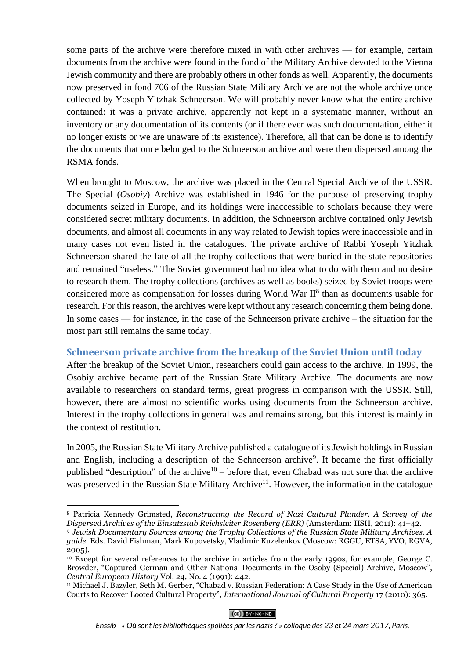some parts of the archive were therefore mixed in with other archives — for example, certain documents from the archive were found in the fond of the Military Archive devoted to the Vienna Jewish community and there are probably others in other fonds as well. Apparently, the documents now preserved in fond 706 of the Russian State Military Archive are not the whole archive once collected by Yoseph Yitzhak Schneerson. We will probably never know what the entire archive contained: it was a private archive, apparently not kept in a systematic manner, without an inventory or any documentation of its contents (or if there ever was such documentation, either it no longer exists or we are unaware of its existence). Therefore, all that can be done is to identify the documents that once belonged to the Schneerson archive and were then dispersed among the RSMA fonds.

When brought to Moscow, the archive was placed in the Central Special Archive of the USSR. The Special (*Osobiy*) Archive was established in 1946 for the purpose of preserving trophy documents seized in Europe, and its holdings were inaccessible to scholars because they were considered secret military documents. In addition, the Schneerson archive contained only Jewish documents, and almost all documents in any way related to Jewish topics were inaccessible and in many cases not even listed in the catalogues. The private archive of Rabbi Yoseph Yitzhak Schneerson shared the fate of all the trophy collections that were buried in the state repositories and remained "useless." The Soviet government had no idea what to do with them and no desire to research them. The trophy collections (archives as well as books) seized by Soviet troops were considered more as compensation for losses during World War  $II<sup>8</sup>$  than as documents usable for research. For this reason, the archives were kept without any research concerning them being done. In some cases — for instance, in the case of the Schneerson private archive – the situation for the most part still remains the same today.

### **Schneerson private archive from the breakup of the Soviet Union until today**

After the breakup of the Soviet Union, researchers could gain access to the archive. In 1999, the Osobiy archive became part of the Russian State Military Archive. The documents are now available to researchers on standard terms, great progress in comparison with the USSR. Still, however, there are almost no scientific works using documents from the Schneerson archive. Interest in the trophy collections in general was and remains strong, but this interest is mainly in the context of restitution.

In 2005, the Russian State Military Archive published a catalogue of its Jewish holdings in Russian and English, including a description of the Schneerson archive<sup>9</sup>. It became the first officially published "description" of the archive<sup>10</sup> – before that, even Chabad was not sure that the archive was preserved in the Russian State Military Archive<sup>11</sup>. However, the information in the catalogue

 $(O<sub>0</sub>)$  BY-NC-ND

 $\overline{a}$ <sup>8</sup> Patricia Kennedy Grimsted, *Reconstructing the Record of Nazi Cultural Plunder. A Survey of the Dispersed Archives of the Einsatzstab Reichsleiter Rosenberg (ERR)* (Amsterdam: IISH, 2011): 41–42.

<sup>9</sup> *Jewish Documentary Sources among the Trophy Collections of the Russian State Military Archives. A guide.* Eds. David Fishman, Mark Kupovetsky, Vladimir Kuzelenkov (Moscow: RGGU, ETSA, YVO, RGVA, 2005).

<sup>&</sup>lt;sup>10</sup> Except for several references to the archive in articles from the early 1990s, for example, George C. Browder, "Captured German and Other Nations' Documents in the Osoby (Special) Archive, Moscow", *Central European History* Vol. 24, No. 4 (1991): 442.

<sup>11</sup> Michael J. Bazyler, Seth M. Gerber, "Chabad v. Russian Federation: A Case Study in the Use of American Courts to Recover Looted Cultural Property", *International Journal of Cultural Property* 17 (2010): 365.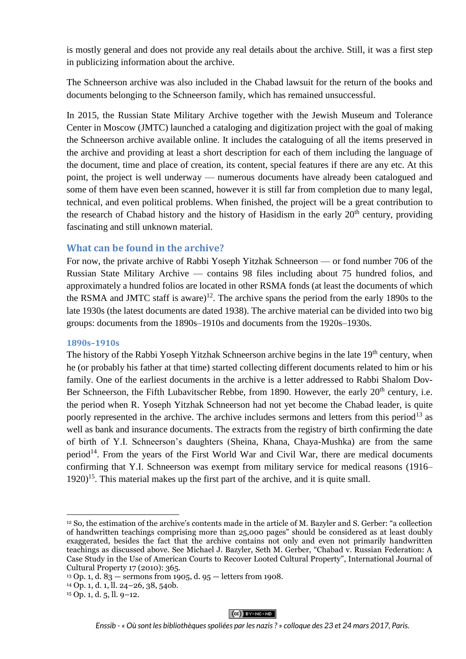is mostly general and does not provide any real details about the archive. Still, it was a first step in publicizing information about the archive.

The Schneerson archive was also included in the Chabad lawsuit for the return of the books and documents belonging to the Schneerson family, which has remained unsuccessful.

In 2015, the Russian State Military Archive together with the Jewish Museum and Tolerance Center in Moscow (JMTC) launched a cataloging and digitization project with the goal of making the Schneerson archive available online. It includes the cataloguing of all the items preserved in the archive and providing at least a short description for each of them including the language of the document, time and place of creation, its content, special features if there are any etc. At this point, the project is well underway — numerous documents have already been catalogued and some of them have even been scanned, however it is still far from completion due to many legal, technical, and even political problems. When finished, the project will be a great contribution to the research of Chabad history and the history of Hasidism in the early  $20<sup>th</sup>$  century, providing fascinating and still unknown material.

#### **What can be found in the archive?**

For now, the private archive of Rabbi Yoseph Yitzhak Schneerson — or fond number 706 of the Russian State Military Archive — contains 98 files including about 75 hundred folios, and approximately a hundred folios are located in other RSMA fonds (at least the documents of which the RSMA and JMTC staff is aware)<sup>12</sup>. The archive spans the period from the early 1890s to the late 1930s (the latest documents are dated 1938). The archive material can be divided into two big groups: documents from the 1890s–1910s and documents from the 1920s–1930s.

#### **1890s–1910s**

The history of the Rabbi Yoseph Yitzhak Schneerson archive begins in the late 19<sup>th</sup> century, when he (or probably his father at that time) started collecting different documents related to him or his family. One of the earliest documents in the archive is a letter addressed to Rabbi Shalom Dov-Ber Schneerson, the Fifth Lubavitscher Rebbe, from 1890. However, the early 20<sup>th</sup> century, i.e. the period when R. Yoseph Yitzhak Schneerson had not yet become the Chabad leader, is quite poorly represented in the archive. The archive includes sermons and letters from this period<sup>13</sup> as well as bank and insurance documents. The extracts from the registry of birth confirming the date of birth of Y.I. Schneerson's daughters (Sheina, Khana, Chaya-Mushka) are from the same period<sup>14</sup>. From the years of the First World War and Civil War, there are medical documents confirming that Y.I. Schneerson was exempt from military service for medical reasons (1916–  $1920$ <sup>15</sup>. This material makes up the first part of the archive, and it is quite small.

**.** 

#### $(O<sub>0</sub>)$  BY-NC-ND

<sup>12</sup> So, the estimation of the archive's contents made in the article of M. Bazyler and S. Gerber: "a collection of handwritten teachings comprising more than 25,000 pages" should be considered as at least doubly exaggerated, besides the fact that the archive contains not only and even not primarily handwritten teachings as discussed above. See Michael J. Bazyler, Seth M. Gerber, "Chabad v. Russian Federation: A Case Study in the Use of American Courts to Recover Looted Cultural Property", International Journal of Cultural Property 17 (2010): 365.

<sup>&</sup>lt;sup>13</sup> Op. 1, d.  $83 -$  sermons from 1905, d. 95 – letters from 1908.

<sup>14</sup> Op. 1, d. 1, ll. 24–26, 38, 54ob.

 $15$  Op. 1, d. 5, ll. 9–12.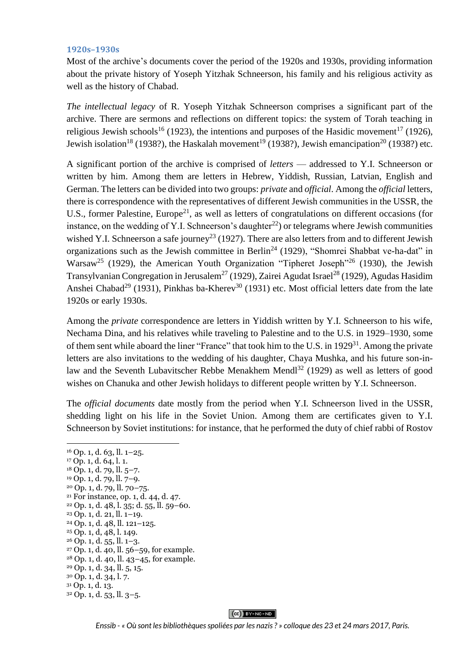#### **1920s–1930s**

Most of the archive's documents cover the period of the 1920s and 1930s, providing information about the private history of Yoseph Yitzhak Schneerson, his family and his religious activity as well as the history of Chabad.

*The intellectual legacy* of R. Yoseph Yitzhak Schneerson comprises a significant part of the archive. There are sermons and reflections on different topics: the system of Torah teaching in religious Jewish schools<sup>16</sup> (1923), the intentions and purposes of the Hasidic movement<sup>17</sup> (1926), Jewish isolation<sup>18</sup> (1938?), the Haskalah movement<sup>19</sup> (1938?), Jewish emancipation<sup>20</sup> (1938?) etc.

A significant portion of the archive is comprised of *letters* — addressed to Y.I. Schneerson or written by him. Among them are letters in Hebrew, Yiddish, Russian, Latvian, English and German. The letters can be divided into two groups: *private* and *official*. Among the *official* letters, there is correspondence with the representatives of different Jewish communities in the USSR, the U.S., former Palestine, Europe<sup>21</sup>, as well as letters of congratulations on different occasions (for instance, on the wedding of Y.I. Schneerson's daughter<sup>22</sup>) or telegrams where Jewish communities wished Y.I. Schneerson a safe journey<sup>23</sup> (1927). There are also letters from and to different Jewish organizations such as the Jewish committee in Berlin<sup>24</sup> (1929), "Shomrei Shabbat ve-ha-dat" in Warsaw<sup>25</sup> (1929), the American Youth Organization "Tipheret Joseph"<sup>26</sup> (1930), the Jewish Transylvanian Congregation in Jerusalem<sup>27</sup> (1929), Zairei Agudat Israel<sup>28</sup> (1929), Agudas Hasidim Anshei Chabad<sup>29</sup> (1931), Pinkhas ba-Kherev<sup>30</sup> (1931) etc. Most official letters date from the late 1920s or early 1930s.

Among the *private* correspondence are letters in Yiddish written by Y.I. Schneerson to his wife, Nechama Dina, and his relatives while traveling to Palestine and to the U.S. in 1929–1930, some of them sent while aboard the liner "France" that took him to the U.S. in 1929<sup>31</sup>. Among the private letters are also invitations to the wedding of his daughter, Chaya Mushka, and his future son-inlaw and the Seventh Lubavitscher Rebbe Menakhem Mendl<sup>32</sup> (1929) as well as letters of good wishes on Chanuka and other Jewish holidays to different people written by Y.I. Schneerson.

The *official documents* date mostly from the period when Y.I. Schneerson lived in the USSR, shedding light on his life in the Soviet Union. Among them are certificates given to Y.I. Schneerson by Soviet institutions: for instance, that he performed the duty of chief rabbi of Rostov

#### $(C<sub>c</sub>)$  BY-NC-ND

<sup>1</sup>  $16$  Op. 1, d. 63, ll.  $1-25$ . <sup>17</sup> Op. 1, d. 64, l. 1. <sup>18</sup> Op. 1, d. 79, ll. 5–7. <sup>19</sup> Op. 1, d. 79, ll. 7–9. <sup>20</sup> Op. 1, d. 79, ll. 70–75. <sup>21</sup> For instance, op. 1, d. 44, d. 47. <sup>22</sup> Op. 1, d. 48, l. 35; d. 55, ll. 59–60. <sup>23</sup> Op. 1, d. 21, ll. 1–19. <sup>24</sup> Op. 1, d. 48, ll. 121–125. <sup>25</sup> Op. 1, d, 48, l. 149. <sup>26</sup> Op. 1, d. 55, ll. 1–3. <sup>27</sup> Op. 1, d. 40, ll. 56–59, for example. <sup>28</sup> Op. 1, d. 40, ll. 43–45, for example. <sup>29</sup> Op. 1, d. 34, ll. 5, 15. <sup>30</sup> Op. 1, d. 34, l. 7. <sup>31</sup> Op. 1, d. 13. <sup>32</sup> Op. 1, d. 53, ll. 3–5.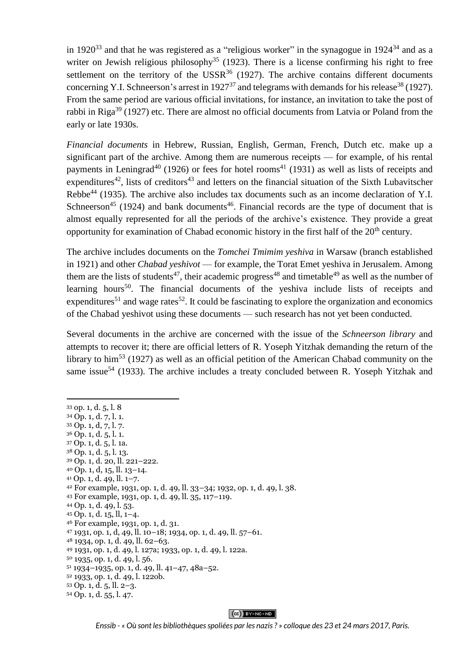in 1920<sup>33</sup> and that he was registered as a "religious worker" in the synagogue in  $1924^{34}$  and as a writer on Jewish religious philosophy<sup>35</sup> (1923). There is a license confirming his right to free settlement on the territory of the USSR $36$  (1927). The archive contains different documents concerning Y.I. Schneerson's arrest in  $1927^{37}$  and telegrams with demands for his release<sup>38</sup> (1927). From the same period are various official invitations, for instance, an invitation to take the post of rabbi in Riga<sup>39</sup> (1927) etc. There are almost no official documents from Latvia or Poland from the early or late 1930s.

*Financial documents* in Hebrew, Russian, English, German, French, Dutch etc. make up a significant part of the archive. Among them are numerous receipts — for example, of his rental payments in Leningrad<sup>40</sup> (1926) or fees for hotel rooms<sup>41</sup> (1931) as well as lists of receipts and expenditures<sup>42</sup>, lists of creditors<sup>43</sup> and letters on the financial situation of the Sixth Lubavitscher Rebbe<sup>44</sup> (1935). The archive also includes tax documents such as an income declaration of Y.I. Schneerson<sup>45</sup> (1924) and bank documents<sup>46</sup>. Financial records are the type of document that is almost equally represented for all the periods of the archive's existence. They provide a great opportunity for examination of Chabad economic history in the first half of the  $20<sup>th</sup>$  century.

The archive includes documents on the *Tomchei Tmimim yeshiva* in Warsaw (branch established in 1921) and other *Chabad yeshivot* — for example, the Torat Emet yeshiva in Jerusalem. Among them are the lists of students<sup>47</sup>, their academic progress<sup>48</sup> and timetable<sup>49</sup> as well as the number of learning hours<sup>50</sup>. The financial documents of the yeshiva include lists of receipts and expenditures<sup>51</sup> and wage rates<sup>52</sup>. It could be fascinating to explore the organization and economics of the Chabad yeshivot using these documents — such research has not yet been conducted.

Several documents in the archive are concerned with the issue of the *Schneerson library* and attempts to recover it; there are official letters of R. Yoseph Yitzhak demanding the return of the library to him<sup>53</sup> (1927) as well as an official petition of the American Chabad community on the same issue<sup>54</sup> (1933). The archive includes a treaty concluded between R. Yoseph Yitzhak and

**.** 

<sup>33</sup> op. 1, d. 5, l. 8 <sup>34</sup> Op. 1, d. 7, l. 1.  $35$  Op. 1, d, 7, l. 7. <sup>36</sup> Op. 1, d. 5, l. 1. <sup>37</sup> Op. 1, d. 5, l. 1a. <sup>38</sup> Op. 1, d. 5, l. 13. <sup>39</sup> Op. 1, d. 20, ll. 221–222. <sup>40</sup> Op. 1, d, 15, ll. 13–14. <sup>41</sup> Op. 1, d. 49, ll. 1–7. <sup>42</sup> For example, 1931, op. 1, d. 49, ll. 33–34; 1932, op. 1, d. 49, l. 38. <sup>43</sup> For example, 1931, op. 1, d. 49, ll. 35, 117–119. <sup>44</sup> Op. 1, d. 49, l. 53. <sup>45</sup> Op. 1, d. 15, ll, 1–4. <sup>46</sup> For example, 1931, op. 1, d. 31. <sup>47</sup> 1931, op. 1, d, 49, ll. 10–18; 1934, op. 1, d. 49, ll. 57–61. <sup>48</sup> 1934, op. 1, d. 49, ll. 62–63. <sup>49</sup> 1931, op. 1, d. 49, l. 127a; 1933, op. 1, d. 49, l. 122a. <sup>50</sup> 1935, op. 1, d. 49, l. 56. <sup>51</sup> 1934–1935, op. 1, d. 49, ll. 41–47, 48a–52. <sup>52</sup> 1933, op. 1, d. 49, l. 122ob. <sup>53</sup> Op. 1, d. 5, ll. 2–3. <sup>54</sup> Op. 1, d. 55, l. 47.

 $(O<sub>0</sub>)$  BY-NC-ND